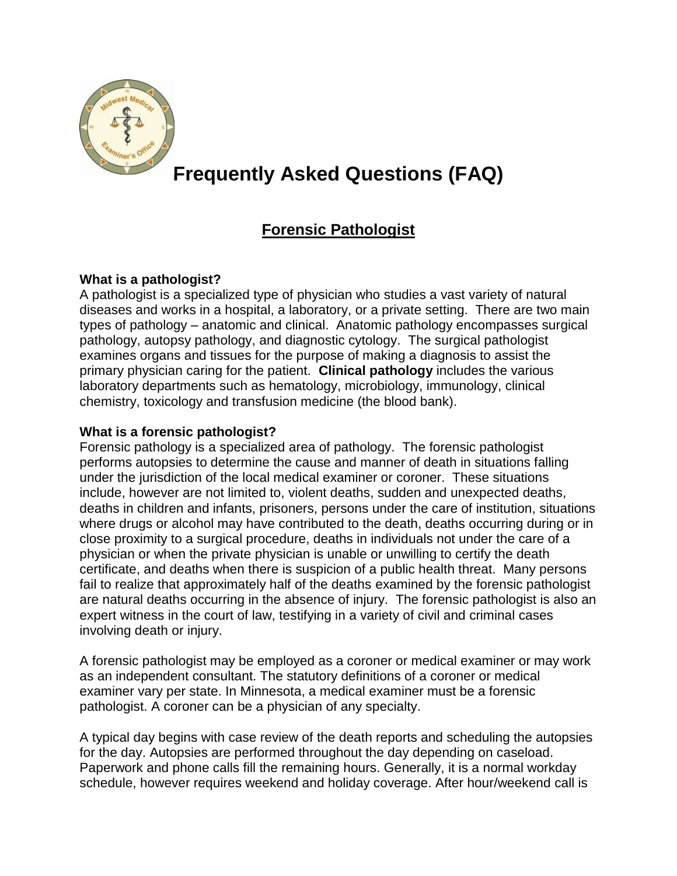

# **Frequently Asked Questions (FAQ)**

## **Forensic Pathologist**

#### **What is a pathologist?**

A pathologist is a specialized type of physician who studies a vast variety of natural diseases and works in a hospital, a laboratory, or a private setting. There are two main types of pathology – anatomic and clinical. Anatomic pathology encompasses surgical pathology, autopsy pathology, and diagnostic cytology. The surgical pathologist examines organs and tissues for the purpose of making a diagnosis to assist the primary physician caring for the patient. **Clinical pathology** includes the various laboratory departments such as hematology, microbiology, immunology, clinical chemistry, toxicology and transfusion medicine (the blood bank).

#### **What is a forensic pathologist?**

Forensic pathology is a specialized area of pathology. The forensic pathologist performs autopsies to determine the cause and manner of death in situations falling under the jurisdiction of the local medical examiner or coroner. These situations include, however are not limited to, violent deaths, sudden and unexpected deaths, deaths in children and infants, prisoners, persons under the care of institution, situations where drugs or alcohol may have contributed to the death, deaths occurring during or in close proximity to a surgical procedure, deaths in individuals not under the care of a physician or when the private physician is unable or unwilling to certify the death certificate, and deaths when there is suspicion of a public health threat. Many persons fail to realize that approximately half of the deaths examined by the forensic pathologist are natural deaths occurring in the absence of injury. The forensic pathologist is also an expert witness in the court of law, testifying in a variety of civil and criminal cases involving death or injury.

A forensic pathologist may be employed as a coroner or medical examiner or may work as an independent consultant. The statutory definitions of a coroner or medical examiner vary per state. In Minnesota, a medical examiner must be a forensic pathologist. A coroner can be a physician of any specialty.

A typical day begins with case review of the death reports and scheduling the autopsies for the day. Autopsies are performed throughout the day depending on caseload. Paperwork and phone calls fill the remaining hours. Generally, it is a normal workday schedule, however requires weekend and holiday coverage. After hour/weekend call is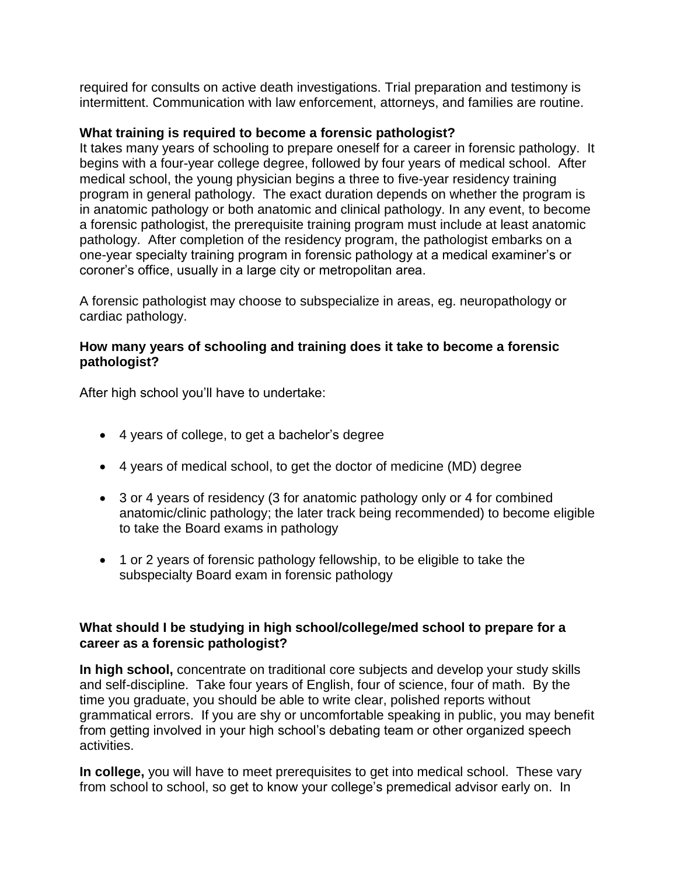required for consults on active death investigations. Trial preparation and testimony is intermittent. Communication with law enforcement, attorneys, and families are routine.

#### **What training is required to become a forensic pathologist?**

It takes many years of schooling to prepare oneself for a career in forensic pathology. It begins with a four-year college degree, followed by four years of medical school. After medical school, the young physician begins a three to five-year residency training program in general pathology. The exact duration depends on whether the program is in anatomic pathology or both anatomic and clinical pathology. In any event, to become a forensic pathologist, the prerequisite training program must include at least anatomic pathology. After completion of the residency program, the pathologist embarks on a one-year specialty training program in forensic pathology at a medical examiner's or coroner's office, usually in a large city or metropolitan area.

A forensic pathologist may choose to subspecialize in areas, eg. neuropathology or cardiac pathology.

#### **How many years of schooling and training does it take to become a forensic pathologist?**

After high school you'll have to undertake:

- 4 years of college, to get a bachelor's degree
- 4 years of medical school, to get the doctor of medicine (MD) degree
- 3 or 4 years of residency (3 for anatomic pathology only or 4 for combined anatomic/clinic pathology; the later track being recommended) to become eligible to take the Board exams in pathology
- 1 or 2 years of forensic pathology fellowship, to be eligible to take the subspecialty Board exam in forensic pathology

#### **What should I be studying in high school/college/med school to prepare for a career as a forensic pathologist?**

**In high school,** concentrate on traditional core subjects and develop your study skills and self-discipline. Take four years of English, four of science, four of math. By the time you graduate, you should be able to write clear, polished reports without grammatical errors. If you are shy or uncomfortable speaking in public, you may benefit from getting involved in your high school's debating team or other organized speech activities.

**In college,** you will have to meet prerequisites to get into medical school. These vary from school to school, so get to know your college's premedical advisor early on. In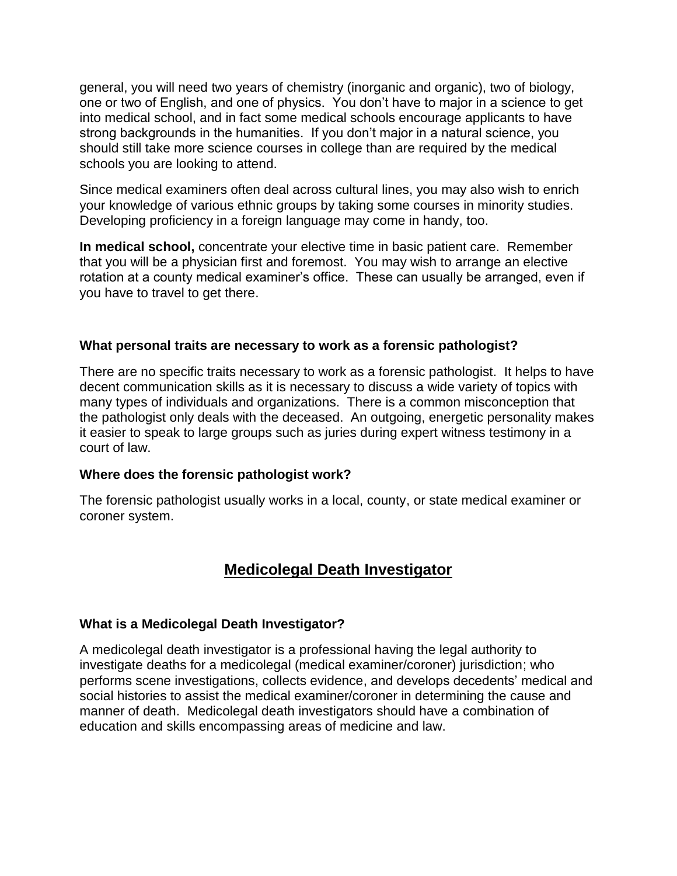general, you will need two years of chemistry (inorganic and organic), two of biology, one or two of English, and one of physics. You don't have to major in a science to get into medical school, and in fact some medical schools encourage applicants to have strong backgrounds in the humanities. If you don't major in a natural science, you should still take more science courses in college than are required by the medical schools you are looking to attend.

Since medical examiners often deal across cultural lines, you may also wish to enrich your knowledge of various ethnic groups by taking some courses in minority studies. Developing proficiency in a foreign language may come in handy, too.

**In medical school,** concentrate your elective time in basic patient care. Remember that you will be a physician first and foremost. You may wish to arrange an elective rotation at a county medical examiner's office. These can usually be arranged, even if you have to travel to get there.

#### **What personal traits are necessary to work as a forensic pathologist?**

There are no specific traits necessary to work as a forensic pathologist. It helps to have decent communication skills as it is necessary to discuss a wide variety of topics with many types of individuals and organizations. There is a common misconception that the pathologist only deals with the deceased. An outgoing, energetic personality makes it easier to speak to large groups such as juries during expert witness testimony in a court of law.

#### **Where does the forensic pathologist work?**

The forensic pathologist usually works in a local, county, or state medical examiner or coroner system.

### **Medicolegal Death Investigator**

#### **What is a Medicolegal Death Investigator?**

A medicolegal death investigator is a professional having the legal authority to investigate deaths for a medicolegal (medical examiner/coroner) jurisdiction; who performs scene investigations, collects evidence, and develops decedents' medical and social histories to assist the medical examiner/coroner in determining the cause and manner of death. Medicolegal death investigators should have a combination of education and skills encompassing areas of medicine and law.